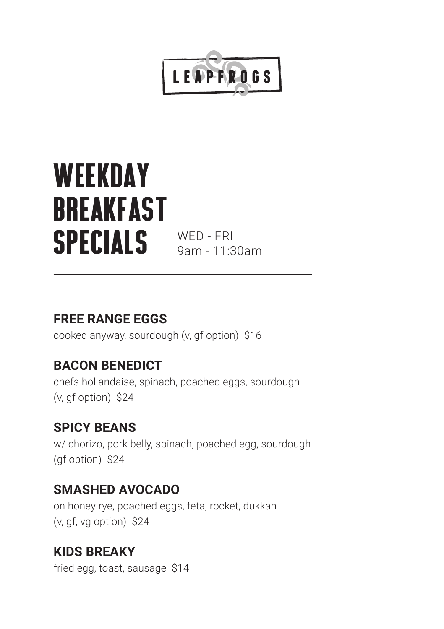

## **WEEKDAY BREAKFAST SPECIALS** WED-FRI

9am - 11:30am

#### **FREE RANGE EGGS**

cooked anyway, sourdough (v, gf option) \$16

#### **BACON BENEDICT**

chefs hollandaise, spinach, poached eggs, sourdough (v, gf option) \$24

#### **SPICY BEANS**

w/ chorizo, pork belly, spinach, poached egg, sourdough (gf option) \$24

#### **SMASHED AVOCADO**

on honey rye, poached eggs, feta, rocket, dukkah (v, gf, vg option) \$24

#### **KIDS BREAKY**

fried egg, toast, sausage \$14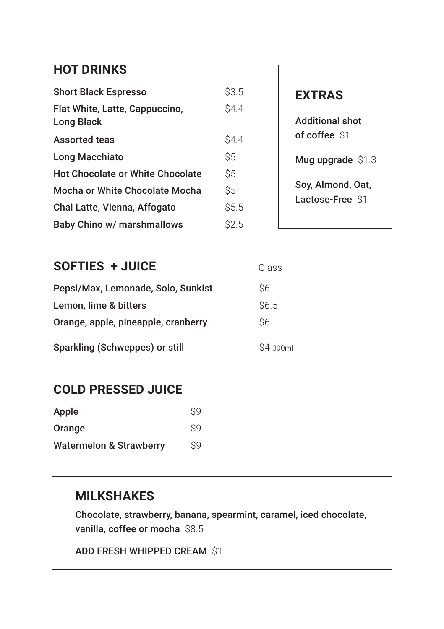#### **HOT DRINKS**

| <b>Short Black Espresso</b>                  | \$3.5       |
|----------------------------------------------|-------------|
| Flat White, Latte, Cappuccino,<br>Long Black | <b>S4.4</b> |
| <b>Assorted teas</b>                         | S4.4        |
| Long Macchiato                               | \$5         |
| <b>Hot Chocolate or White Chocolate</b>      | Ŝ5          |
| Mocha or White Chocolate Mocha               | Ŝ5          |
| Chai Latte, Vienna, Affogato                 | \$5.5       |
| Baby Chino w/ marshmallows                   | S2.5        |

#### **EXTRAS**

Additional shot of coffee \$1

Mug upgrade \$1.3

Soy, Almond, Oat, Lactose-Free \$1

Glass

#### **SOFTIES + JUICE**

| Pepsi/Max, Lemonade, Solo, Sunkist  | Ŝ6               |
|-------------------------------------|------------------|
| Lemon, lime & bitters               | S <sub>6.5</sub> |
| Orange, apple, pineapple, cranberry | Ś6               |
| Sparkling (Schweppes) or still      | \$4 300ml        |

#### **COLD PRESSED JUICE**

| Apple                              | S9 |
|------------------------------------|----|
| Orange                             | S9 |
| <b>Watermelon &amp; Strawberry</b> | S9 |

#### **MILKSHAKES**

Chocolate, strawberry, banana, spearmint, caramel, iced chocolate, vanilla, coffee or mocha \$8.5

```
ADD FRESH WHIPPED CREAM $1
```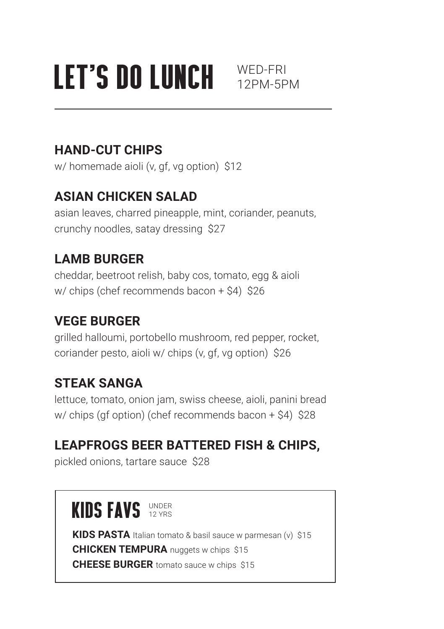# LET'S DO LUNCH WED-FRI

#### **HAND-CUT CHIPS**

w/ homemade aioli (v, gf, vg option) \$12

#### **ASIAN CHICKEN SALAD**

asian leaves, charred pineapple, mint, coriander, peanuts, crunchy noodles, satay dressing \$27

#### **LAMB BURGER**

cheddar, beetroot relish, baby cos, tomato, egg & aioli w/ chips (chef recommends bacon + \$4) \$26

#### **VEGE BURGER**

grilled halloumi, portobello mushroom, red pepper, rocket, coriander pesto, aioli w/ chips (v, gf, vg option) \$26

#### **STEAK SANGA**

lettuce, tomato, onion jam, swiss cheese, aioli, panini bread w/ chips (gf option) (chef recommends bacon + \$4) \$28

#### **LEAPFROGS BEER BATTERED FISH & CHIPS,**

pickled onions, tartare sauce \$28

### **KINS FAVS** UNDER

**KIDS PASTA** Italian tomato & basil sauce w parmesan (v) \$15 **CHICKEN TEMPURA** nuggets w chips \$15 **CHEESE BURGER** tomato sauce w chips \$15